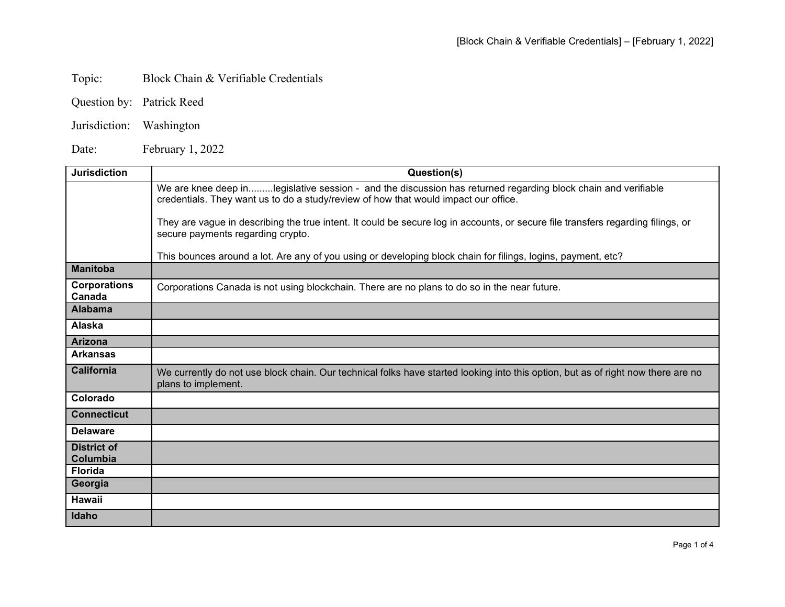## Topic: Block Chain & Verifiable Credentials

- Question by: Patrick Reed
- Jurisdiction: Washington

Date: February 1, 2022

| <b>Jurisdiction</b>            | Question(s)                                                                                                                                                                                          |
|--------------------------------|------------------------------------------------------------------------------------------------------------------------------------------------------------------------------------------------------|
|                                | We are knee deep inlegislative session - and the discussion has returned regarding block chain and verifiable<br>credentials. They want us to do a study/review of how that would impact our office. |
|                                | They are vague in describing the true intent. It could be secure log in accounts, or secure file transfers regarding filings, or<br>secure payments regarding crypto.                                |
|                                | This bounces around a lot. Are any of you using or developing block chain for filings, logins, payment, etc?                                                                                         |
| <b>Manitoba</b>                |                                                                                                                                                                                                      |
| <b>Corporations</b><br>Canada  | Corporations Canada is not using blockchain. There are no plans to do so in the near future.                                                                                                         |
| <b>Alabama</b>                 |                                                                                                                                                                                                      |
| <b>Alaska</b>                  |                                                                                                                                                                                                      |
| <b>Arizona</b>                 |                                                                                                                                                                                                      |
| <b>Arkansas</b>                |                                                                                                                                                                                                      |
| <b>California</b>              | We currently do not use block chain. Our technical folks have started looking into this option, but as of right now there are no<br>plans to implement.                                              |
| Colorado                       |                                                                                                                                                                                                      |
| <b>Connecticut</b>             |                                                                                                                                                                                                      |
| <b>Delaware</b>                |                                                                                                                                                                                                      |
| <b>District of</b><br>Columbia |                                                                                                                                                                                                      |
| <b>Florida</b>                 |                                                                                                                                                                                                      |
| Georgia                        |                                                                                                                                                                                                      |
| <b>Hawaii</b>                  |                                                                                                                                                                                                      |
| Idaho                          |                                                                                                                                                                                                      |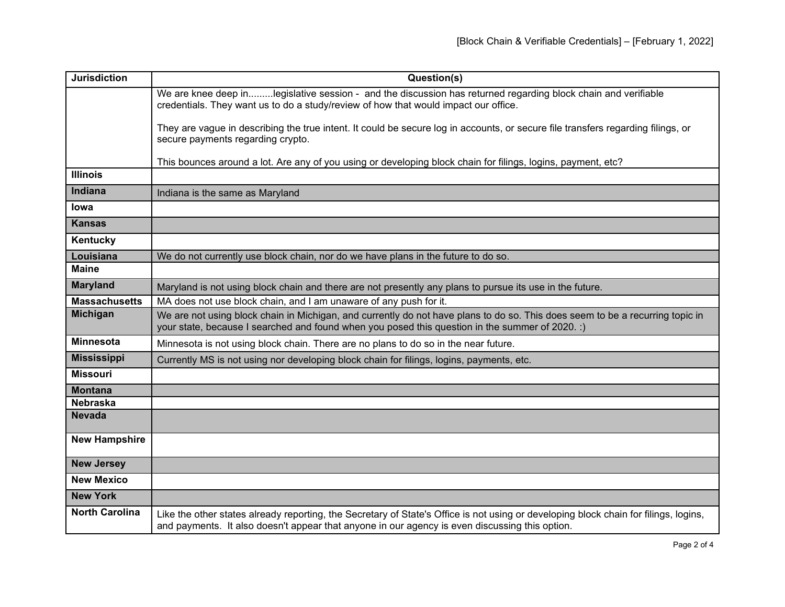| <b>Jurisdiction</b>   | Question(s)                                                                                                                                                                                                                            |
|-----------------------|----------------------------------------------------------------------------------------------------------------------------------------------------------------------------------------------------------------------------------------|
|                       | We are knee deep inlegislative session - and the discussion has returned regarding block chain and verifiable<br>credentials. They want us to do a study/review of how that would impact our office.                                   |
|                       | They are vague in describing the true intent. It could be secure log in accounts, or secure file transfers regarding filings, or<br>secure payments regarding crypto.                                                                  |
|                       | This bounces around a lot. Are any of you using or developing block chain for filings, logins, payment, etc?                                                                                                                           |
| <b>Illinois</b>       |                                                                                                                                                                                                                                        |
| <b>Indiana</b>        | Indiana is the same as Maryland                                                                                                                                                                                                        |
| Iowa                  |                                                                                                                                                                                                                                        |
| <b>Kansas</b>         |                                                                                                                                                                                                                                        |
| Kentucky              |                                                                                                                                                                                                                                        |
| Louisiana             | We do not currently use block chain, nor do we have plans in the future to do so.                                                                                                                                                      |
| <b>Maine</b>          |                                                                                                                                                                                                                                        |
| <b>Maryland</b>       | Maryland is not using block chain and there are not presently any plans to pursue its use in the future.                                                                                                                               |
| <b>Massachusetts</b>  | MA does not use block chain, and I am unaware of any push for it.                                                                                                                                                                      |
| <b>Michigan</b>       | We are not using block chain in Michigan, and currently do not have plans to do so. This does seem to be a recurring topic in<br>your state, because I searched and found when you posed this question in the summer of 2020. :)       |
| <b>Minnesota</b>      | Minnesota is not using block chain. There are no plans to do so in the near future.                                                                                                                                                    |
| <b>Mississippi</b>    | Currently MS is not using nor developing block chain for filings, logins, payments, etc.                                                                                                                                               |
| <b>Missouri</b>       |                                                                                                                                                                                                                                        |
| <b>Montana</b>        |                                                                                                                                                                                                                                        |
| <b>Nebraska</b>       |                                                                                                                                                                                                                                        |
| <b>Nevada</b>         |                                                                                                                                                                                                                                        |
| <b>New Hampshire</b>  |                                                                                                                                                                                                                                        |
| <b>New Jersey</b>     |                                                                                                                                                                                                                                        |
| <b>New Mexico</b>     |                                                                                                                                                                                                                                        |
| <b>New York</b>       |                                                                                                                                                                                                                                        |
| <b>North Carolina</b> | Like the other states already reporting, the Secretary of State's Office is not using or developing block chain for filings, logins,<br>and payments. It also doesn't appear that anyone in our agency is even discussing this option. |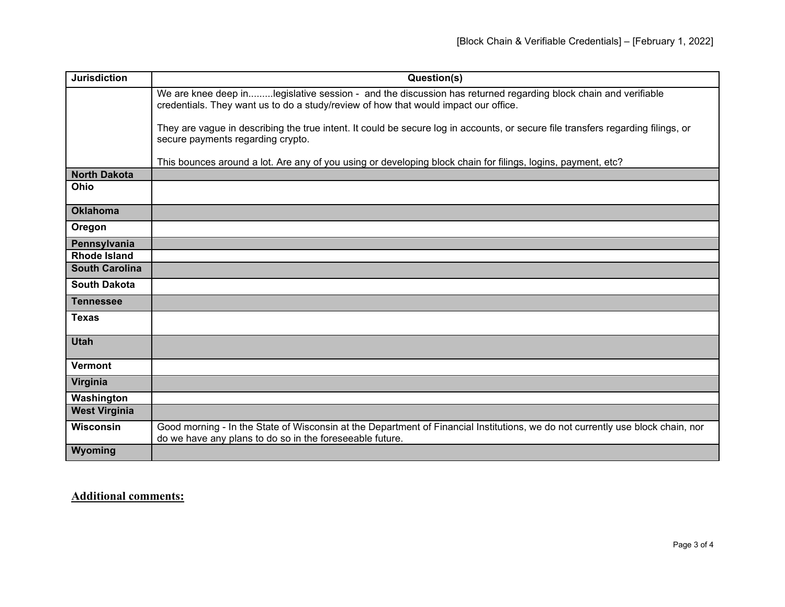| <b>Jurisdiction</b>   | Question(s)                                                                                                                                                                                          |
|-----------------------|------------------------------------------------------------------------------------------------------------------------------------------------------------------------------------------------------|
|                       | We are knee deep inlegislative session - and the discussion has returned regarding block chain and verifiable<br>credentials. They want us to do a study/review of how that would impact our office. |
|                       | They are vague in describing the true intent. It could be secure log in accounts, or secure file transfers regarding filings, or<br>secure payments regarding crypto.                                |
|                       | This bounces around a lot. Are any of you using or developing block chain for filings, logins, payment, etc?                                                                                         |
| <b>North Dakota</b>   |                                                                                                                                                                                                      |
| Ohio                  |                                                                                                                                                                                                      |
| <b>Oklahoma</b>       |                                                                                                                                                                                                      |
| Oregon                |                                                                                                                                                                                                      |
| Pennsylvania          |                                                                                                                                                                                                      |
| <b>Rhode Island</b>   |                                                                                                                                                                                                      |
| <b>South Carolina</b> |                                                                                                                                                                                                      |
| <b>South Dakota</b>   |                                                                                                                                                                                                      |
| <b>Tennessee</b>      |                                                                                                                                                                                                      |
| <b>Texas</b>          |                                                                                                                                                                                                      |
| <b>Utah</b>           |                                                                                                                                                                                                      |
| <b>Vermont</b>        |                                                                                                                                                                                                      |
| Virginia              |                                                                                                                                                                                                      |
| Washington            |                                                                                                                                                                                                      |
| <b>West Virginia</b>  |                                                                                                                                                                                                      |
| <b>Wisconsin</b>      | Good morning - In the State of Wisconsin at the Department of Financial Institutions, we do not currently use block chain, nor<br>do we have any plans to do so in the foreseeable future.           |
| Wyoming               |                                                                                                                                                                                                      |

**Additional comments:**